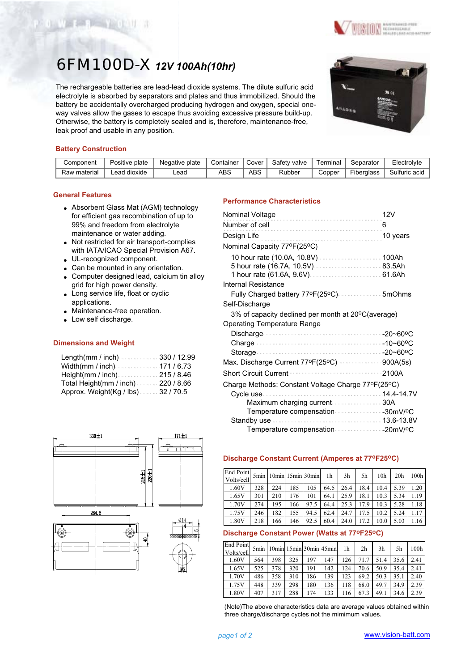

The rechargeable batteries are lead-lead dioxide systems. The dilute sulfuric acid electrolyte is absorbed by separators and plates and thus immobilized. Should the battery be accidentally overcharged producing hydrogen and oxygen, special oneway valves allow the gases to escape thus avoiding excessive pressure build-up. Otherwise, the battery is completely sealed and is, therefore, maintenance-free, leak proof and usable in any position.



**ON** HARTFARED PRINTING

## **Battery Construction**

Wasan Widel

| Component    | Positive plate  | plate<br>Negative L | Container | Cover | Safetv<br>valve | ⊺erminal | Separator  | Electrol∨te   |
|--------------|-----------------|---------------------|-----------|-------|-----------------|----------|------------|---------------|
| Raw material | dioxide<br>.ead | -ead                | ABS       | ABS   | Rubber          | こopper   | Fiberalass | Sulfuric acid |

#### **General Features**

- Absorbent Glass Mat (AGM) technology for efficient gas recombination of up to 99% and freedom from electrolyte maintenance or water adding.
- Not restricted for air transport-complies with IATA/ICAO Special Provision A67.
- UL-recognized component.
- Can be mounted in any orientation.
- Computer designed lead, calcium tin alloy grid for high power density.
- Long service life, float or cyclic applications.
- Maintenance-free operation.
- Low self discharge.

#### **Dimensions and Weight**

| Length(mm / inch)330 / 12.99          |  |
|---------------------------------------|--|
|                                       |  |
| Height(mm / inch) $\cdots$ 215 / 8.46 |  |
| Total Height(mm / inch). 220 / 8.66   |  |
| Approx. Weight(Kg / lbs)32 / 70.5     |  |



# **Performance Characteristics**

| Nominal Voltage                                                        | 12V      |
|------------------------------------------------------------------------|----------|
| Number of cell                                                         | 6        |
| Design Life                                                            | 10 years |
| Nominal Capacity 77°F(25°C)                                            |          |
| 5 hour rate (16.7A, 10.5V) 83.5Ah<br>1 hour rate (61.6A, 9.6V)  61.6Ah |          |
| Internal Resistance                                                    |          |
| Fully Charged battery 77ºF(25ºC)  5mOhms                               |          |
| Self-Discharge                                                         |          |
| 3% of capacity declined per month at 20°C(average)                     |          |
| Operating Temperature Range                                            |          |
|                                                                        |          |
|                                                                        |          |
|                                                                        |          |
| Max. Discharge Current 77ºF(25°C) ···················900A(5s)          |          |
| <b>Short Circuit Current</b>                                           | 2100A    |
| Charge Methods: Constant Voltage Charge 77ºF(25ºC)                     |          |
|                                                                        |          |
| Maximum charging current 30A                                           |          |
| Temperature compensation 30mV/ºC                                       |          |
|                                                                        |          |
|                                                                        |          |

### **Discharge Constant Current (Amperes at 77oF25oC)**

| End Point<br>Volts/cell |     | 5min 10min 15min 30min |     |      | 1h   | 3h   | 5h   | 10 <sub>h</sub> | 20 <sub>h</sub> | 100h |
|-------------------------|-----|------------------------|-----|------|------|------|------|-----------------|-----------------|------|
| 1.60V                   | 328 | 224                    | 185 | 105  | 64.5 | 26.4 | 18.4 | 10.4            | 5.39            | 1.20 |
| 1.65V                   | 301 | 210                    | 176 | 101  | 64.1 | 25.9 | 18.1 | 10.3            | 5.34            | 1.19 |
| 1.70V                   | 274 | 195                    | 166 | 97.5 | 64.4 | 25.3 | 17.9 | 10.3            | 5.28            | 1.18 |
| 1.75V                   | 246 | 182                    | 155 | 94.5 | 62.4 | 24.7 | 17.5 | 10.2            | 5.24            | 1.17 |
| 1.80V                   | 218 | 166                    | 146 | 92.5 | 60.4 | 24.0 | 17.2 | 10.0            | 5.03            | 1.16 |

# **Discharge Constant Power (Watts at 77oF25oC)**

| End Point<br>Volts/cell |     |     |     |     | 5min   10min   15min   30min   45min | 1h  | 2 <sub>h</sub> | 3 <sub>h</sub> | 5h   | 100h |
|-------------------------|-----|-----|-----|-----|--------------------------------------|-----|----------------|----------------|------|------|
| 1.60V                   | 564 | 398 | 325 | 197 | 147                                  | 126 | 71.7           | 51.4           | 35.6 | 2.41 |
| 1.65V                   | 525 | 378 | 320 | 191 | 142                                  | 124 | 70.6           | 50.9           | 35.4 | 2.41 |
| 1.70V                   | 486 | 358 | 310 | 186 | 139                                  | 123 | 69.2           | 50.3           | 35.1 | 2.40 |
| 1.75V                   | 448 | 339 | 298 | 180 | 136                                  | 118 | 68.0           | 49.7           | 34.9 | 2.39 |
| 1.80V                   | 407 | 317 | 288 | 174 | 133                                  | 116 | 67.3           | 49.1           | 34.6 | 2.39 |

(Note)The above characteristics data are average values obtained within three charge/discharge cycles not the mimimum values.